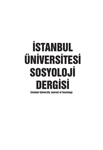# İSTANBUL ÜNİVERSİTESİ SOSYOLOJİ DERGİSİ İstanbul University Journal of Sociology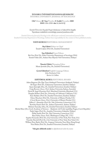#### **İSTANBUL ÜNİVERSİTESİ SOSYOLOJİ DERGİSİ**

**İSTANBUL UNIVERSITY JOURNAL OF SOCIOLOGY**

#### **Cilt/Volume 40 • Sayı/Number 2• Aralık/December 2020 ISSN** 1304-2998 **• doi** 10.26650/SJ

#### *İstanbul Üniversitesi Sosyoloji Dergisi* uluslararası ve hakemli bir dergidir. Yayımlanan makalelerin sorumluluğu yazarına/yazarlarına aittir.

*İstanbul University Journal of Sociology* is the official peer-reviewed, international journal of the Istanbul University Department of Sociology. Authors bear responsibility for the content of their published articles.

#### **YAYIN KURULU/EDITORIAL MANAGEMENT**

**Baş Editör/Editor-in-Chief** İsmail Coşkun (Prof. Dr., İstanbul Üniversitesi)

**Sayı Editörleri/Guest Editors** Bai Gao (Prof. Dr., Duke University, Department of Sociology, USA) Emrah Yıldız (Dr., Ankara Hacı Bayram Veli Üniversitesi, Türkiye)

> **Yönetici Editör/Managing Editor** Murat Şentürk (Doç. Dr., İstanbul Üniversitesi)

**Çeviri Editörleri/English Language Editors** John Zacharias Crist Kevin A. Collins

#### **EDİTÖRYAL KURUL/EDITORIAL BOARD**

Adem Başpınar (Dr. Öğr. Üyesi, Kırklareli Üniversitesi, Kırklareli, Türkiye) Ali Ergur (Prof. Dr., Galatasaray Üniversitesi, İstanbul, Türkiye) Ayşen Şatıroğlu (Doç. Dr., İstanbul Üniversitesi, İstanbul, Türkiye) Craig Browne (Assoc. Prof., Sydney University, Sydney, Australia) David R. Segal (Emeritus Prof., Maryland University, Maryland, U.S.) Douglas Kellner (Prof. Dr., University of California, California, U.S.) Enes Kabakcı (Prof. Dr., İstanbul Üniversitesi, İstanbul, Türkiye) Glenn Muschert (Prof. Dr., University of Miami, Florida, U.S.) J. Scott Brown (Assoc. Prof., University of Miami, Florida, U.S.) Jeffrey C. Alexander (Prof. Dr., Yale University, Connecticut, U.S.) Kurtuluş Kayalı (Prof. Dr., Ankara Üniversitesi, Ankara, Türkiye) Mehmet Samsakçı (Doç. Dr., İstanbul Üniversitesi, İstanbul, Türkiye) Michal Illner (Dr., Czech Academy of Sciences - Akademie věd České republiky, Prague, Czech Republic) Nadir Suğur (Prof. Dr., Anadolu Üniversitesi, Eskişehir, Türkiye) Philip Smith (Prof. Dr., Yale University, Connecticut, U.S.) Ryan Kelty (Assoc. Prof., Washington College, DC., U.S.) Sujatha Fernandes (Prof. Dr., City University of New York, New York, U.S.) Timothy Shortell (Prof. Dr., City University of New York, New York, U.S.) William Peter Baehr (Prof. Dr., Lingnan University, Tuen Mun, Hong Kong) Yücel Bulut (Prof. Dr., İstanbul Üniversitesi, İstanbul, Türkiye)

**\*Ada göre alfabetik sırada In alphabetical order by name**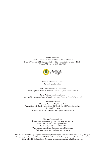**Yayıncı/Publisher** İstanbul Üniversitesi Yayınevi / İstanbul University Press İstanbul Üniversitesi Merkez Kampüsü, 34452 Beyazıt, Fatih / İstanbul - Türkiye Phone / Telefon: +90 (212) 440 00 00



**Yayın Türü/Publication Type** Yaygın Süreli/Periodical

**Yayın Dili/Languages of Publication** Türkçe, İngilizce, Almanca, Fransızca/Turkish, English, German, French

**Yayın Periyodu/Publishing Period** Altı ayda bir Haziran ve Aralık aylarında yayımlanır/Biannual ( June & December)

**Baskı ve Cilt/Press Hamdioğulları İçve Dış Ticaret A.Ş. Adres:** ZübeydeZübeyde Hanım Mah. Elif Sokak No: 7/197 Altındağ, Ankara Sertifika No: 35188 **Tel:** (0542) 695-7760 • **e-Posta:** hamdiogullari@hotmail.com

> **İletişim/Correspondence** İstanbul Üniversitesi Edebiyat Fakültesi Sosyoloji Bölümü Ordu Cad. No: 196 34459 Beyazıt İstanbul **Telefon:** +90 (212) 455-5700/15998 **Web:** https://iupress.istanbul.edu.tr/tr/journal/iusd/home **Elektronik posta:** sosyolojidergi@istanbul.edu.tr

*İstanbul Üniversitesi Sosyoloji Dergisi*; Clarivate Analytics Emerging Sources Citation Index (ESCI), ProQuest CSA Sociological Abstract, EBSCO SocINDEX (with Full Text), Emreging Sources Citation Index (ESCI), ULAKBİM TR Dizin ve Index Copernicus tarafından taranmakta ve indekslenmektedir.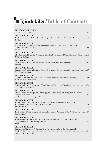### **İçindekiler/Table of Contents**

| EDİTÖRDEN/EDITORIAL<br>Bai Gao, Emrah Yıldız                                                                                                           |
|--------------------------------------------------------------------------------------------------------------------------------------------------------|
| <b>RESEARCH ARTICLE</b><br>The Renaissance of Industrial Policy: Developmentalism in the Era of Post Globalization577<br>Bai Gao                       |
| <b>RESEARCH ARTICLE</b><br>A Reassessment of Turkey's Import Substitution Strategy: Bureaucracy, Politics, and the<br>Emrah Yıldız                     |
| <b>RESEARCH ARTICLE</b><br>Globalization and Domestic Coping Strategies: The Development of China's Industrial Clusters  625<br>Li Guowu, Bai Gao      |
| <b>RESEARCH ARTICLE</b><br>Developmental States in the Twenty-First Century: New Wine into Old Bottles? 649<br>Judit Ricz                              |
| <b>RESEARCH ARTICLE</b><br>Development Finance: A Financing Platform Between the Government and the Market 677<br>Liu Weiping, Liu Daren               |
| <b>RESEARCH ARTICLE</b><br>Imitation, Innovation and State Capacity: What Do East Asian Industrial Policies Imply? 701<br>K. Ali Akkemik, Murat Yülek  |
| <b>RESEARCH ARTICLE</b><br>Liu Changxi, Gui Yong, Yu Qin                                                                                               |
| <b>RESEARCH ARTICLE</b><br>Dragon's Abacus: Developmentalist Strategy and Economic-Social Consequences of Chinese<br>Jun Yan, Chong Zhang, Tingting Li |
| <b>RESEARCH ARTICLE</b><br>Theorizing the Developmental State beyond Nation-State Histories and Trajectories:<br>Juho Korhonen                         |
| <b>RESEARCH ARTICLE</b><br>The Evolution of China's High-tech Zones and the Guiding Philosophy of the Developmental State803<br>Zuoxiang Zhao          |
| <b>RESEARCH ARTICLE</b><br>The Developmental Government and Economic Development in Sri Lanka 2005-2019:<br>Yan He                                     |
| <b>RESEARCH ARTICLE</b><br>Developmental States in sub-Saharan Africa: Reflections on State, Development, and<br>Hüseyin Emrah Karaoğuz                |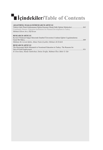## **İçindekiler/Table of Contents**

| ARASTIRMA MAKALESİ/RESEARCH ARTICLE<br>Türkiye'deki Planlı Kalkınmanın Eğitim Kurumu Olarak Halk Eğitimi Merkezleri<br>Community Houses: Education Institutions for Planned Development in Turkey<br>Mehmet Güven Avcı, Elif Kıran |  |
|------------------------------------------------------------------------------------------------------------------------------------------------------------------------------------------------------------------------------------|--|
| <b>RESEARCH ARTICLE</b><br>Kovid-19 Küresel Salgın Sürecinde İstanbul Üniversitesi Uzaktan Eğitim Uygulamalarına<br>Mahmut Ak, Levent Sahin, Ahmet Naim Cicekler, Mehmet Ali Ertürk                                                |  |
| <b>RESEARCH ARTICLE</b><br>The Horizontal Skills Mismatch in Vocational Education in Turkey: The Reasons for<br>H. Eren Suna, Hande Tanberkan, Emine Eroğlu, Mahmut Özer, Bekir S. Gür                                             |  |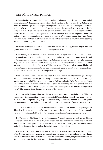### **EDİTÖRDEN/EDITORIAL**

Industrial policy has reoccupied the intellectual agenda in many countries since the 2008 global financial crisis. By highlighting the important role of the state in the economy, the global surge of industrial policy has presented a major challenge to neoliberalism and the Washington Consensus. In the heyday of globalization, neoliberalism used to prescribe market-driven strategies to developing countries. These days, however, not only have many developing countries reconsidered the alternative development models represented in Asian countries where states implement industrial policies to promote economic growth; under the pressure of increasing competition from China, even developed countries have begun to rethink the contribution the state should have in supporting the development of high-tech industries.

In order to participate in international discussions on industrial policy, we present you with this special issue on developmentalism and the developmental state.

Bai Gao categorizes industrial policy in relation to the conceptualizations of the state. The classical model of the developmental state focused on promoting exports of value-added industries and protecting domestic markets emerged before globalization had accelerated. However, the ongoing megatrends of globalization reversal, technological revolution, the profound transformation of the postwar international order, and the rise of China have revealed how states have adopted industrial policies to promote innovation in technological frontiers, to develop infrastructure, to reduce transaction costs, and to nurture a national competitive advantage.

Emrah Yıldız reconsiders Turkey's implementation of the import-substitution strategy. Although development has been the main goal of Turkey, the literature on developmentalism and the developmental state have had difficulties finding a place in Turkish academia. Turkey's longing and desire for building national industries has been tackled primarily from the perspective of modernization and dependency theories. Drawing upon the literature on developmentalism and the developmental state, Yildiz reinterprets the Turkish experience of development.

Li Guowu and Bai Gao attribute the distinctive characteristics of industrial clusters in China, including items from competition strategy, openness to FDI, distribution channels, and mode of governance mode to developmental stages, specific phases of the globalization pendulum movement, spatial concentrations of industrial clusters and specialized markets, and patterns of state-society relations.

Judit Ricz evaluates the literature on developmental states and researches a new paradigm. In this article, Ricz focuses on states' reconsidered roles in the economy since the global economic crisis of 2008 and sheds light on the future of developing states in the post-pandemic world.

Liu Weiping and Liu Daren show that development finance has addressed both market failures and government failures and has distinguished itself from both commercial finance and traditional policy finance. Development finance is characterized by governmental project selections where policy banks incubate finance and market outlets carry out the projects.

In contrast, Liu Changxi, Gui Yong, and Yu Qin demonstrate how finance has become the center of the Chinese economy. The state has strengthened its capacities in controlling and mobilizing resources through fiscal financialization, a two-tier interest rate system, the growth mechanism of foreign reserves, and the duel preference for both political and economic goals.